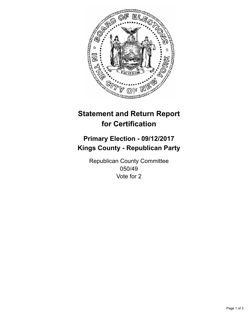

## **Statement and Return Report for Certification**

## **Primary Election - 09/12/2017 Kings County - Republican Party**

Republican County Committee 050/49 Vote for 2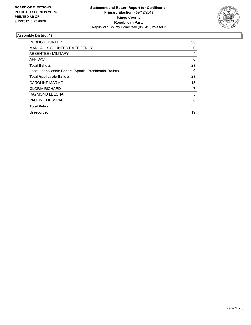

## **Assembly District 49**

| <b>PUBLIC COUNTER</b>                                    | 23 |
|----------------------------------------------------------|----|
| <b>MANUALLY COUNTED EMERGENCY</b>                        | 0  |
| ABSENTEE / MILITARY                                      | 4  |
| AFFIDAVIT                                                | 0  |
| <b>Total Ballots</b>                                     | 27 |
| Less - Inapplicable Federal/Special Presidential Ballots | 0  |
| <b>Total Applicable Ballots</b>                          | 27 |
| <b>CAROLINE MARMO</b>                                    | 15 |
| <b>GLORIA RICHARD</b>                                    | 7  |
| RAYMOND LEESHA                                           | 5  |
| <b>PAULINE MESSINA</b>                                   | 8  |
| <b>Total Votes</b>                                       | 35 |
| Unrecorded                                               | 19 |